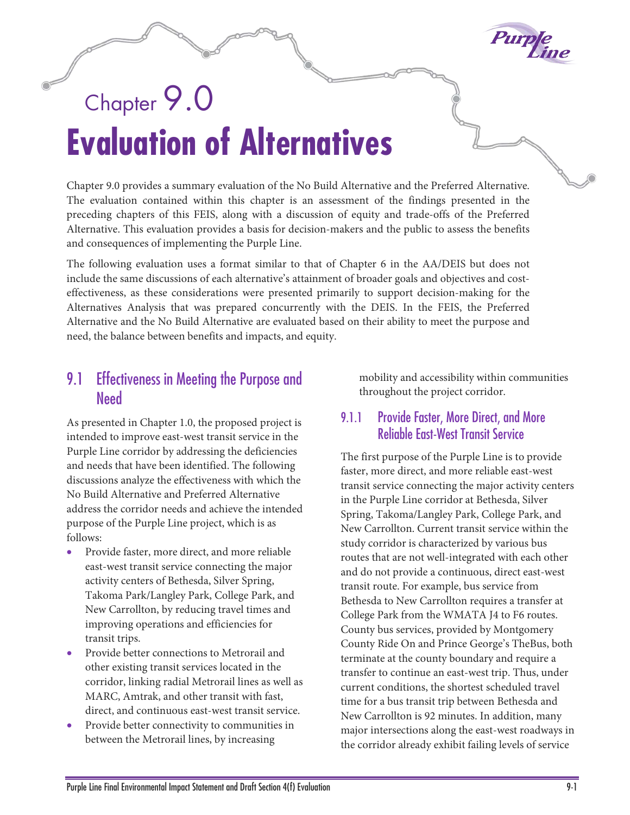

# Chapter 9.0 **Evaluation of Alternatives**

Chapter 9.0 provides a summary evaluation of the No Build Alternative and the Preferred Alternative. The evaluation contained within this chapter is an assessment of the findings presented in the preceding chapters of this FEIS, along with a discussion of equity and trade-offs of the Preferred Alternative. This evaluation provides a basis for decision-makers and the public to assess the benefits and consequences of implementing the Purple Line.

The following evaluation uses a format similar to that of Chapter 6 in the AA/DEIS but does not include the same discussions of each alternative's attainment of broader goals and objectives and costeffectiveness, as these considerations were presented primarily to support decision-making for the Alternatives Analysis that was prepared concurrently with the DEIS. In the FEIS, the Preferred Alternative and the No Build Alternative are evaluated based on their ability to meet the purpose and need, the balance between benefits and impacts, and equity.

# 9.1 Effectiveness in Meeting the Purpose and **Need**

As presented in Chapter 1.0, the proposed project is intended to improve east-west transit service in the Purple Line corridor by addressing the deficiencies and needs that have been identified. The following discussions analyze the effectiveness with which the No Build Alternative and Preferred Alternative address the corridor needs and achieve the intended purpose of the Purple Line project, which is as follows:

- Provide faster, more direct, and more reliable east-west transit service connecting the major activity centers of Bethesda, Silver Spring, Takoma Park/Langley Park, College Park, and New Carrollton, by reducing travel times and improving operations and efficiencies for transit trips.
- Provide better connections to Metrorail and other existing transit services located in the corridor, linking radial Metrorail lines as well as MARC, Amtrak, and other transit with fast, direct, and continuous east-west transit service.
- Provide better connectivity to communities in between the Metrorail lines, by increasing

mobility and accessibility within communities throughout the project corridor.

## 9.1.1 Provide Faster, More Direct, and More Reliable East-West Transit Service

The first purpose of the Purple Line is to provide faster, more direct, and more reliable east-west transit service connecting the major activity centers in the Purple Line corridor at Bethesda, Silver Spring, Takoma/Langley Park, College Park, and New Carrollton. Current transit service within the study corridor is characterized by various bus routes that are not well-integrated with each other and do not provide a continuous, direct east-west transit route. For example, bus service from Bethesda to New Carrollton requires a transfer at College Park from the WMATA J4 to F6 routes. County bus services, provided by Montgomery County Ride On and Prince George's TheBus, both terminate at the county boundary and require a transfer to continue an east-west trip. Thus, under current conditions, the shortest scheduled travel time for a bus transit trip between Bethesda and New Carrollton is 92 minutes. In addition, many major intersections along the east-west roadways in the corridor already exhibit failing levels of service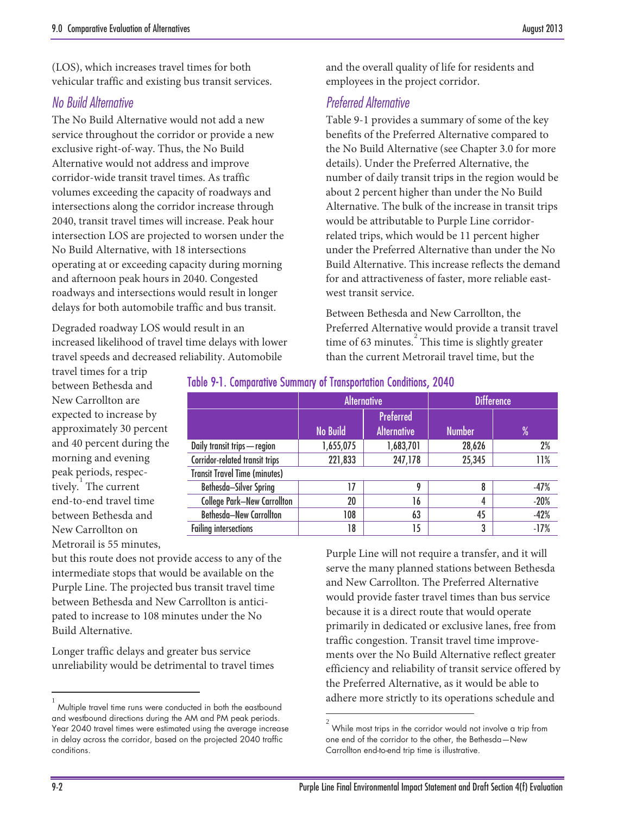(LOS), which increases travel times for both vehicular traffic and existing bus transit services.

## *No Build Alternative*

The No Build Alternative would not add a new service throughout the corridor or provide a new exclusive right-of-way. Thus, the No Build Alternative would not address and improve corridor-wide transit travel times. As traffic volumes exceeding the capacity of roadways and intersections along the corridor increase through 2040, transit travel times will increase. Peak hour intersection LOS are projected to worsen under the No Build Alternative, with 18 intersections operating at or exceeding capacity during morning and afternoon peak hours in 2040. Congested roadways and intersections would result in longer delays for both automobile traffic and bus transit.

Degraded roadway LOS would result in an increased likelihood of travel time delays with lower travel speeds and decreased reliability. Automobile

and the overall quality of life for residents and employees in the project corridor.

## *Preferred Alternative*

[Table 9-1](#page-1-0) provides a summary of some of the key benefits of the Preferred Alternative compared to the No Build Alternative (see Chapter 3.0 for more details). Under the Preferred Alternative, the number of daily transit trips in the region would be about 2 percent higher than under the No Build Alternative. The bulk of the increase in transit trips would be attributable to Purple Line corridorrelated trips, which would be 11 percent higher under the Preferred Alternative than under the No Build Alternative. This increase reflects the demand for and attractiveness of faster, more reliable eastwest transit service.

Between Bethesda and New Carrollton, the Preferred Alternative would provide a transit travel time of 63 minutes. $\frac{1}{2}$  $\frac{1}{2}$  $\frac{1}{2}$  This time is slightly greater than the current Metrorail travel time, but the

travel times for a trip between Bethesda and New Carrollton are expected to increase by approximately 30 percent and 40 percent during the morning and evening peak periods, respectively. The current end-to-end travel time between Bethesda and New Carrollton on Metrorail is 55 minutes,

|                                      | <b>Alternative</b> |                                        | <b>Difference</b> |        |
|--------------------------------------|--------------------|----------------------------------------|-------------------|--------|
|                                      | <b>No Build</b>    | <b>Preferred</b><br><b>Alternative</b> | <b>Number</b>     | $\%$   |
| Daily transit trips - region         | 1,655,075          | 1,683,701                              | 28,626            | 2%     |
| Corridor-related transit trips       | 221,833            | 247,178                                | 25,345            | 11%    |
| <b>Transit Travel Time (minutes)</b> |                    |                                        |                   |        |
| Bethesda-Silver Spring               | 17                 | 9                                      | 8                 | $-47%$ |
| <b>College Park-New Carrollton</b>   | 20                 | 16                                     | 4                 | $-20%$ |
| <b>Bethesda-New Carrollton</b>       | 108                | 63                                     | 45                | $-42%$ |
| <b>Failing intersections</b>         | 18                 | 15                                     | 3                 | $-17%$ |

#### <span id="page-1-0"></span>Table 9-1. Comparative Summary of Transportation Conditions, 2040

 $\overline{a}$ 

but this route does not provide access to any of the intermediate stops that would be available on the Purple Line. The projected bus transit travel time between Bethesda and New Carrollton is anticipated to increase to 108 minutes under the No Build Alternative.

Longer traffic delays and greater bus service unreliability would be detrimental to travel times

Purple Line will not require a transfer, and it will serve the many planned stations between Bethesda and New Carrollton. The Preferred Alternative would provide faster travel times than bus service because it is a direct route that would operate primarily in dedicated or exclusive lanes, free from traffic congestion. Transit travel time improvements over the No Build Alternative reflect greater efficiency and reliability of transit service offered by the Preferred Alternative, as it would be able to adhere more strictly to its operations schedule and

 $\overline{a}$ 

<span id="page-1-2"></span><span id="page-1-1"></span><sup>1</sup> Multiple travel time runs were conducted in both the eastbound and westbound directions during the AM and PM peak periods. Year 2040 travel times were estimated using the average increase in delay across the corridor, based on the projected 2040 traffic conditions.

<sup>2</sup> While most trips in the corridor would not involve a trip from one end of the corridor to the other, the Bethesda—New Carrollton end-to-end trip time is illustrative.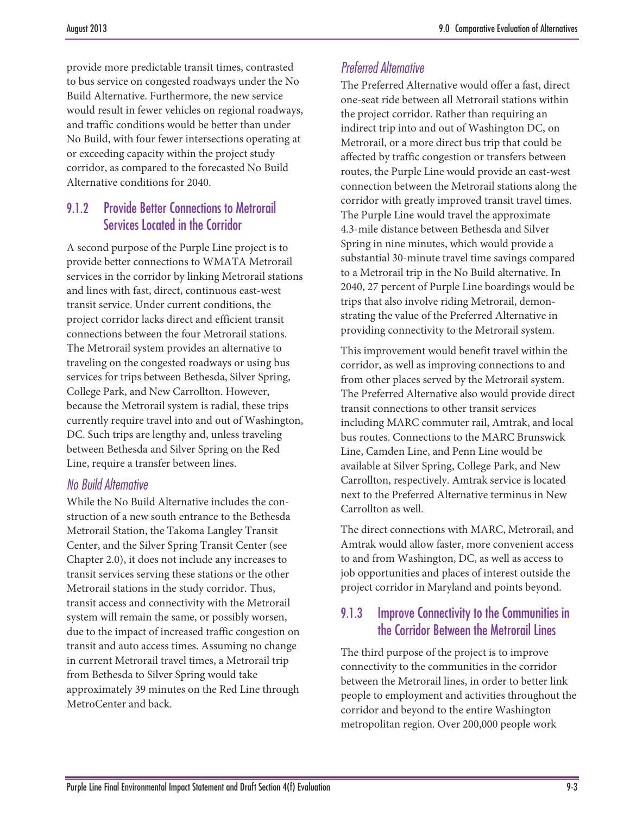provide more predictable transit times, contrasted to bus service on congested roadways under the No Build Alternative. Furthermore, the new service would result in fewer vehicles on regional roadways, and traffic conditions would be better than under No Build, with four fewer intersections operating at or exceeding capacity within the project study corridor, as compared to the forecasted No Build Alternative conditions for 2040.

# 9.1.2 Provide Better Connections to Metrorail Services Located in the Corridor

A second purpose of the Purple Line project is to provide better connections to WMATA Metrorail services in the corridor by linking Metrorail stations and lines with fast, direct, continuous east-west transit service. Under current conditions, the project corridor lacks direct and efficient transit connections between the four Metrorail stations. The Metrorail system provides an alternative to traveling on the congested roadways or using bus services for trips between Bethesda, Silver Spring, College Park, and New Carrollton. However, because the Metrorail system is radial, these trips currently require travel into and out of Washington, DC. Such trips are lengthy and, unless traveling between Bethesda and Silver Spring on the Red Line, require a transfer between lines.

#### *No Build Alternative*

While the No Build Alternative includes the construction of a new south entrance to the Bethesda Metrorail Station, the Takoma Langley Transit Center, and the Silver Spring Transit Center (see Chapter 2.0), it does not include any increases to transit services serving these stations or the other Metrorail stations in the study corridor. Thus, transit access and connectivity with the Metrorail system will remain the same, or possibly worsen, due to the impact of increased traffic congestion on transit and auto access times. Assuming no change in current Metrorail travel times, a Metrorail trip from Bethesda to Silver Spring would take approximately 39 minutes on the Red Line through MetroCenter and back.

# *Preferred Alternative*

The Preferred Alternative would offer a fast, direct one-seat ride between all Metrorail stations within the project corridor. Rather than requiring an indirect trip into and out of Washington DC, on Metrorail, or a more direct bus trip that could be affected by traffic congestion or transfers between routes, the Purple Line would provide an east-west connection between the Metrorail stations along the corridor with greatly improved transit travel times. The Purple Line would travel the approximate 4.3-mile distance between Bethesda and Silver Spring in nine minutes, which would provide a substantial 30-minute travel time savings compared to a Metrorail trip in the No Build alternative. In 2040, 27 percent of Purple Line boardings would be trips that also involve riding Metrorail, demonstrating the value of the Preferred Alternative in providing connectivity to the Metrorail system.

This improvement would benefit travel within the corridor, as well as improving connections to and from other places served by the Metrorail system. The Preferred Alternative also would provide direct transit connections to other transit services including MARC commuter rail, Amtrak, and local bus routes. Connections to the MARC Brunswick Line, Camden Line, and Penn Line would be available at Silver Spring, College Park, and New Carrollton, respectively. Amtrak service is located next to the Preferred Alternative terminus in New Carrollton as well.

The direct connections with MARC, Metrorail, and Amtrak would allow faster, more convenient access to and from Washington, DC, as well as access to job opportunities and places of interest outside the project corridor in Maryland and points beyond.

# 9.1.3 Improve Connectivity to the Communities in the Corridor Between the Metrorail Lines

The third purpose of the project is to improve connectivity to the communities in the corridor between the Metrorail lines, in order to better link people to employment and activities throughout the corridor and beyond to the entire Washington metropolitan region. Over 200,000 people work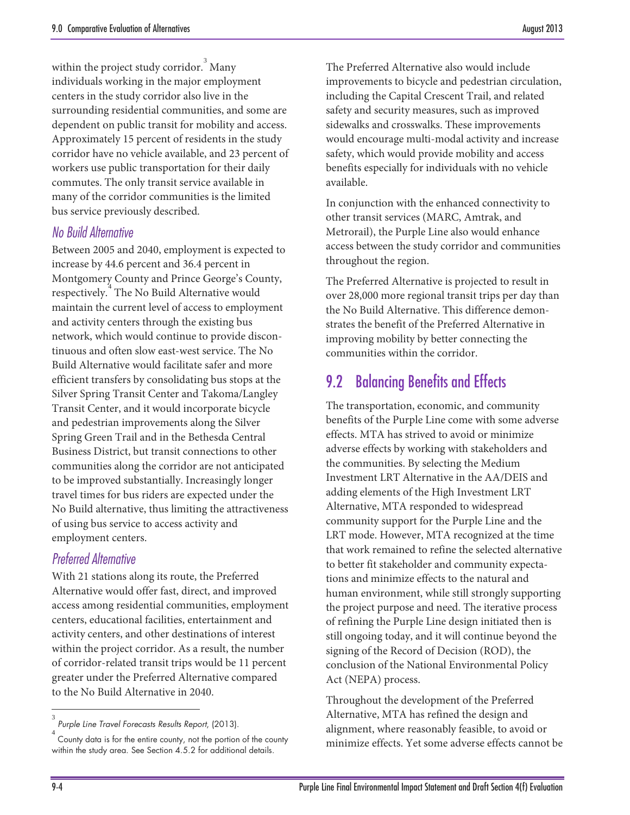within the project study corridor. <sup>[3](#page-3-0)</sup> Many individuals working in the major employment centers in the study corridor also live in the surrounding residential communities, and some are dependent on public transit for mobility and access. Approximately 15 percent of residents in the study corridor have no vehicle available, and 23 percent of workers use public transportation for their daily commutes. The only transit service available in many of the corridor communities is the limited bus service previously described.

## *No Build Alternative*

Between 2005 and 2040, employment is expected to increase by 44.6 percent and 36.4 percent in Montgomery County and Prince George's County, respectively. [4](#page-3-0) The No Build Alternative would maintain the current level of access to employment and activity centers through the existing bus network, which would continue to provide discontinuous and often slow east-west service. The No Build Alternative would facilitate safer and more efficient transfers by consolidating bus stops at the Silver Spring Transit Center and Takoma/Langley Transit Center, and it would incorporate bicycle and pedestrian improvements along the Silver Spring Green Trail and in the Bethesda Central Business District, but transit connections to other communities along the corridor are not anticipated to be improved substantially. Increasingly longer travel times for bus riders are expected under the No Build alternative, thus limiting the attractiveness of using bus service to access activity and employment centers.

# *Preferred Alternative*

With 21 stations along its route, the Preferred Alternative would offer fast, direct, and improved access among residential communities, employment centers, educational facilities, entertainment and activity centers, and other destinations of interest within the project corridor. As a result, the number of corridor-related transit trips would be 11 percent greater under the Preferred Alternative compared to the No Build Alternative in 2040.

The Preferred Alternative also would include improvements to bicycle and pedestrian circulation, including the Capital Crescent Trail, and related safety and security measures, such as improved sidewalks and crosswalks. These improvements would encourage multi-modal activity and increase safety, which would provide mobility and access benefits especially for individuals with no vehicle available.

In conjunction with the enhanced connectivity to other transit services (MARC, Amtrak, and Metrorail), the Purple Line also would enhance access between the study corridor and communities throughout the region.

The Preferred Alternative is projected to result in over 28,000 more regional transit trips per day than the No Build Alternative. This difference demonstrates the benefit of the Preferred Alternative in improving mobility by better connecting the communities within the corridor.

# 9.2 Balancing Benefits and Effects

The transportation, economic, and community benefits of the Purple Line come with some adverse effects. MTA has strived to avoid or minimize adverse effects by working with stakeholders and the communities. By selecting the Medium Investment LRT Alternative in the AA/DEIS and adding elements of the High Investment LRT Alternative, MTA responded to widespread community support for the Purple Line and the LRT mode. However, MTA recognized at the time that work remained to refine the selected alternative to better fit stakeholder and community expectations and minimize effects to the natural and human environment, while still strongly supporting the project purpose and need. The iterative process of refining the Purple Line design initiated then is still ongoing today, and it will continue beyond the signing of the Record of Decision (ROD), the conclusion of the National Environmental Policy Act (NEPA) process.

Throughout the development of the Preferred Alternative, MTA has refined the design and alignment, where reasonably feasible, to avoid or minimize effects. Yet some adverse effects cannot be

 $\overline{a}$ 

<span id="page-3-0"></span><sup>3</sup> *Purple Line Travel Forecasts Results Report*, (2013).

<sup>4</sup> County data is for the entire county, not the portion of the county within the study area. See Section 4.5.2 for additional details.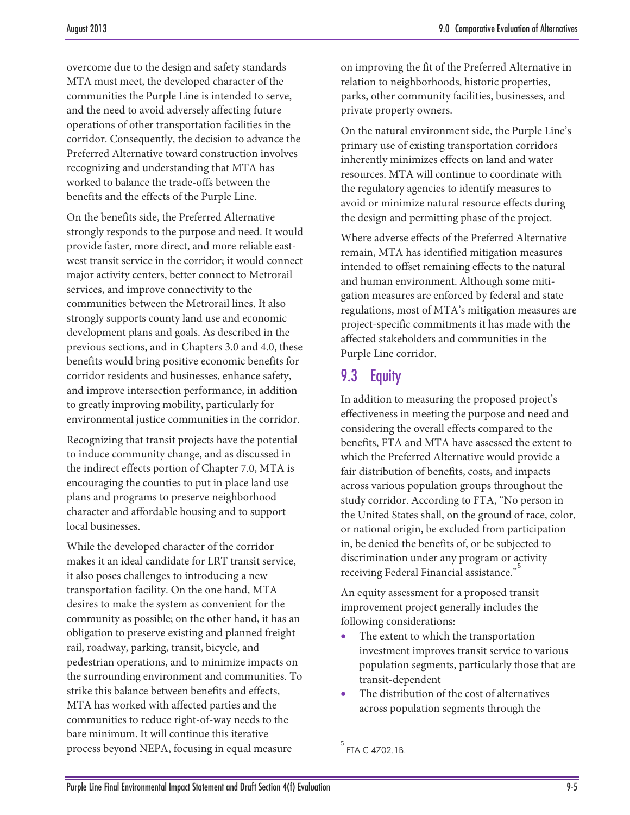overcome due to the design and safety standards MTA must meet, the developed character of the communities the Purple Line is intended to serve, and the need to avoid adversely affecting future operations of other transportation facilities in the corridor. Consequently, the decision to advance the Preferred Alternative toward construction involves recognizing and understanding that MTA has worked to balance the trade-offs between the benefits and the effects of the Purple Line.

On the benefits side, the Preferred Alternative strongly responds to the purpose and need. It would provide faster, more direct, and more reliable eastwest transit service in the corridor; it would connect major activity centers, better connect to Metrorail services, and improve connectivity to the communities between the Metrorail lines. It also strongly supports county land use and economic development plans and goals. As described in the previous sections, and in Chapters 3.0 and 4.0, these benefits would bring positive economic benefits for corridor residents and businesses, enhance safety, and improve intersection performance, in addition to greatly improving mobility, particularly for environmental justice communities in the corridor.

Recognizing that transit projects have the potential to induce community change, and as discussed in the indirect effects portion of Chapter 7.0, MTA is encouraging the counties to put in place land use plans and programs to preserve neighborhood character and affordable housing and to support local businesses.

<span id="page-4-0"></span>While the developed character of the corridor makes it an ideal candidate for LRT transit service, it also poses challenges to introducing a new transportation facility. On the one hand, MTA desires to make the system as convenient for the community as possible; on the other hand, it has an obligation to preserve existing and planned freight rail, roadway, parking, transit, bicycle, and pedestrian operations, and to minimize impacts on the surrounding environment and communities. To strike this balance between benefits and effects, MTA has worked with affected parties and the communities to reduce right-of-way needs to the bare minimum. It will continue this iterative process beyond NEPA, focusing in equal measure

on improving the fit of the Preferred Alternative in relation to neighborhoods, historic properties, parks, other community facilities, businesses, and private property owners.

On the natural environment side, the Purple Line's primary use of existing transportation corridors inherently minimizes effects on land and water resources. MTA will continue to coordinate with the regulatory agencies to identify measures to avoid or minimize natural resource effects during the design and permitting phase of the project.

Where adverse effects of the Preferred Alternative remain, MTA has identified mitigation measures intended to offset remaining effects to the natural and human environment. Although some mitigation measures are enforced by federal and state regulations, most of MTA's mitigation measures are project-specific commitments it has made with the affected stakeholders and communities in the Purple Line corridor.

# 9.3 Equity

In addition to measuring the proposed project's effectiveness in meeting the purpose and need and considering the overall effects compared to the benefits, FTA and MTA have assessed the extent to which the Preferred Alternative would provide a fair distribution of benefits, costs, and impacts across various population groups throughout the study corridor. According to FTA, "No person in the United States shall, on the ground of race, color, or national origin, be excluded from participation in, be denied the benefits of, or be subjected to discrimination under any program or activity receiving Federal Financial assistance."<sup>[5](#page-4-0)</sup>

An equity assessment for a proposed transit improvement project generally includes the following considerations:

- The extent to which the transportation investment improves transit service to various population segments, particularly those that are transit-dependent
- The distribution of the cost of alternatives across population segments through the

 $\overline{a}$ 

<sup>&</sup>lt;sup>5</sup> FTA C 4702.1B.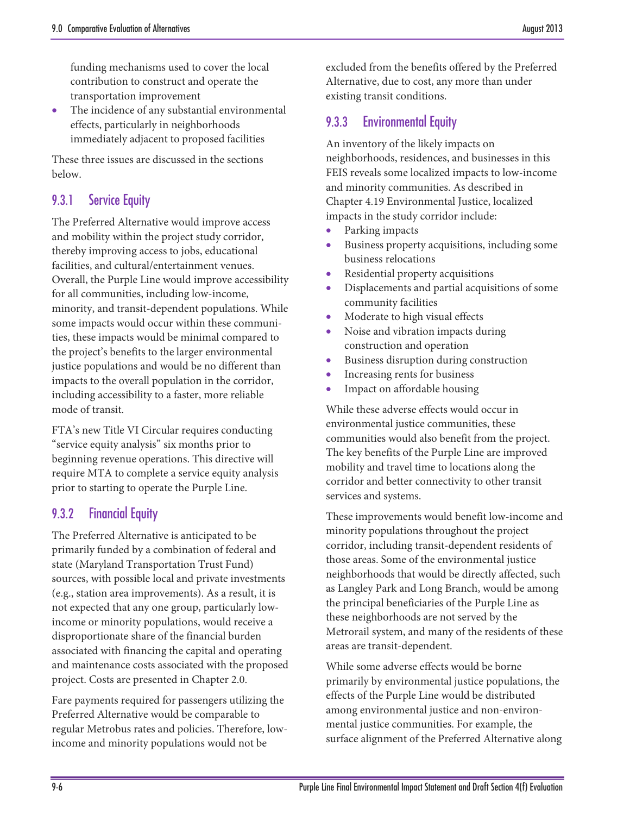funding mechanisms used to cover the local contribution to construct and operate the transportation improvement

The incidence of any substantial environmental effects, particularly in neighborhoods immediately adjacent to proposed facilities

These three issues are discussed in the sections below.

## 9.3.1 Service Equity

The Preferred Alternative would improve access and mobility within the project study corridor, thereby improving access to jobs, educational facilities, and cultural/entertainment venues. Overall, the Purple Line would improve accessibility for all communities, including low-income, minority, and transit-dependent populations. While some impacts would occur within these communities, these impacts would be minimal compared to the project's benefits to the larger environmental justice populations and would be no different than impacts to the overall population in the corridor, including accessibility to a faster, more reliable mode of transit.

FTA's new Title VI Circular requires conducting "service equity analysis" six months prior to beginning revenue operations. This directive will require MTA to complete a service equity analysis prior to starting to operate the Purple Line.

#### 9.3.2 Financial Equity

The Preferred Alternative is anticipated to be primarily funded by a combination of federal and state (Maryland Transportation Trust Fund) sources, with possible local and private investments (e.g., station area improvements). As a result, it is not expected that any one group, particularly lowincome or minority populations, would receive a disproportionate share of the financial burden associated with financing the capital and operating and maintenance costs associated with the proposed project. Costs are presented in Chapter 2.0.

Fare payments required for passengers utilizing the Preferred Alternative would be comparable to regular Metrobus rates and policies. Therefore, lowincome and minority populations would not be

excluded from the benefits offered by the Preferred Alternative, due to cost, any more than under existing transit conditions.

# 9.3.3 Environmental Equity

An inventory of the likely impacts on neighborhoods, residences, and businesses in this FEIS reveals some localized impacts to low-income and minority communities. As described in Chapter 4.19 Environmental Justice, localized impacts in the study corridor include:

- Parking impacts
- Business property acquisitions, including some business relocations
- Residential property acquisitions
- Displacements and partial acquisitions of some community facilities
- Moderate to high visual effects
- Noise and vibration impacts during construction and operation
- Business disruption during construction
- Increasing rents for business
- Impact on affordable housing

While these adverse effects would occur in environmental justice communities, these communities would also benefit from the project. The key benefits of the Purple Line are improved mobility and travel time to locations along the corridor and better connectivity to other transit services and systems.

These improvements would benefit low-income and minority populations throughout the project corridor, including transit-dependent residents of those areas. Some of the environmental justice neighborhoods that would be directly affected, such as Langley Park and Long Branch, would be among the principal beneficiaries of the Purple Line as these neighborhoods are not served by the Metrorail system, and many of the residents of these areas are transit-dependent.

While some adverse effects would be borne primarily by environmental justice populations, the effects of the Purple Line would be distributed among environmental justice and non-environmental justice communities. For example, the surface alignment of the Preferred Alternative along